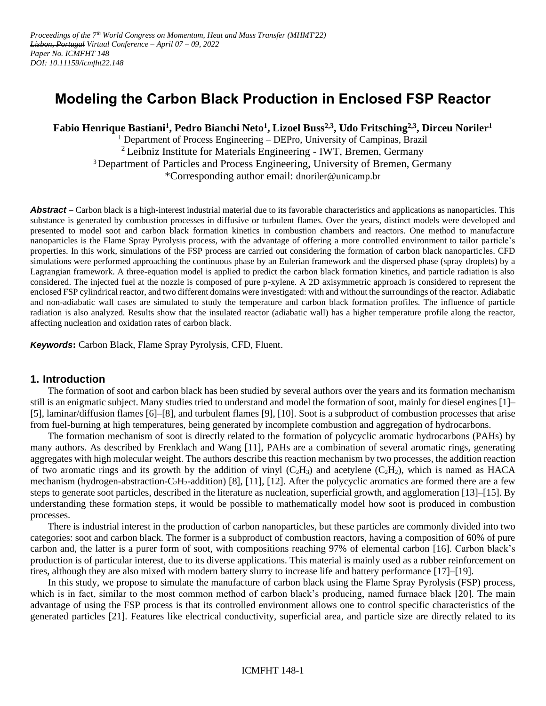# **Modeling the Carbon Black Production in Enclosed FSP Reactor**

**Fabio Henrique Bastiani<sup>1</sup> , Pedro Bianchi Neto<sup>1</sup> , Lizoel Buss2,3 , Udo Fritsching2,3, Dirceu Noriler<sup>1</sup>**

<sup>1</sup> Department of Process Engineering – DEPro, University of Campinas, Brazil  $2$  Leibniz Institute for Materials Engineering - IWT, Bremen, Germany <sup>3</sup> Department of Particles and Process Engineering, University of Bremen, Germany \*Corresponding author email: dnoriler@unicamp.br

**Abstract** – Carbon black is a high-interest industrial material due to its favorable characteristics and applications as nanoparticles. This substance is generated by combustion processes in diffusive or turbulent flames. Over the years, distinct models were developed and presented to model soot and carbon black formation kinetics in combustion chambers and reactors. One method to manufacture nanoparticles is the Flame Spray Pyrolysis process, with the advantage of offering a more controlled environment to tailor particle's properties. In this work, simulations of the FSP process are carried out considering the formation of carbon black nanoparticles. CFD simulations were performed approaching the continuous phase by an Eulerian framework and the dispersed phase (spray droplets) by a Lagrangian framework. A three-equation model is applied to predict the carbon black formation kinetics, and particle radiation is also considered. The injected fuel at the nozzle is composed of pure p-xylene. A 2D axisymmetric approach is considered to represent the enclosed FSP cylindrical reactor, and two different domains were investigated: with and without the surroundings of the reactor. Adiabatic and non-adiabatic wall cases are simulated to study the temperature and carbon black formation profiles. The influence of particle radiation is also analyzed. Results show that the insulated reactor (adiabatic wall) has a higher temperature profile along the reactor, affecting nucleation and oxidation rates of carbon black.

*Keywords***:** Carbon Black, Flame Spray Pyrolysis, CFD, Fluent.

## **1. Introduction**

The formation of soot and carbon black has been studied by several authors over the years and its formation mechanism still is an enigmatic subject. Many studies tried to understand and model the formation of soot, mainly for diesel engines [1]– [5], laminar/diffusion flames [6]–[8], and turbulent flames [9], [10]. Soot is a subproduct of combustion processes that arise from fuel-burning at high temperatures, being generated by incomplete combustion and aggregation of hydrocarbons.

The formation mechanism of soot is directly related to the formation of polycyclic aromatic hydrocarbons (PAHs) by many authors. As described by Frenklach and Wang [11], PAHs are a combination of several aromatic rings, generating aggregates with high molecular weight. The authors describe this reaction mechanism by two processes, the addition reaction of two aromatic rings and its growth by the addition of vinyl  $(C_2H_3)$  and acetylene  $(C_2H_2)$ , which is named as HACA mechanism (hydrogen-abstraction-C<sub>2</sub>H<sub>2</sub>-addition) [8], [11], [12]. After the polycyclic aromatics are formed there are a few steps to generate soot particles, described in the literature as nucleation, superficial growth, and agglomeration [13]–[15]. By understanding these formation steps, it would be possible to mathematically model how soot is produced in combustion processes.

There is industrial interest in the production of carbon nanoparticles, but these particles are commonly divided into two categories: soot and carbon black. The former is a subproduct of combustion reactors, having a composition of 60% of pure carbon and, the latter is a purer form of soot, with compositions reaching 97% of elemental carbon [16]. Carbon black's production is of particular interest, due to its diverse applications. This material is mainly used as a rubber reinforcement on tires, although they are also mixed with modern battery slurry to increase life and battery performance [17]–[19].

In this study, we propose to simulate the manufacture of carbon black using the Flame Spray Pyrolysis (FSP) process, which is in fact, similar to the most common method of carbon black's producing, named furnace black [20]. The main advantage of using the FSP process is that its controlled environment allows one to control specific characteristics of the generated particles [21]. Features like electrical conductivity, superficial area, and particle size are directly related to its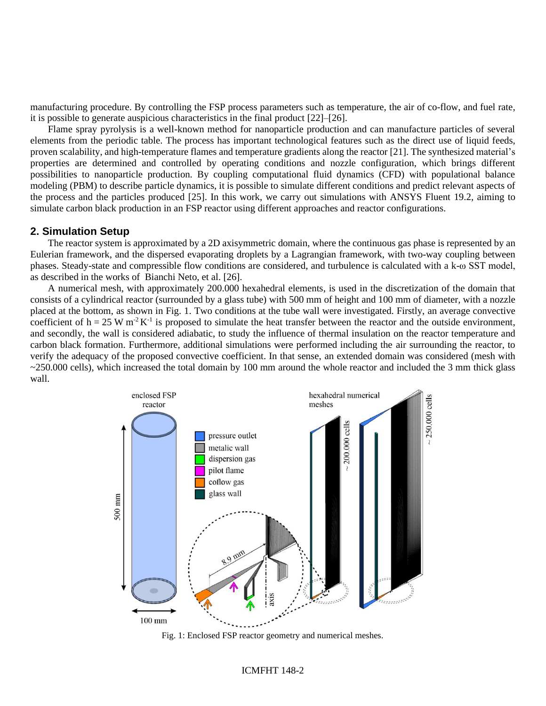manufacturing procedure. By controlling the FSP process parameters such as temperature, the air of co-flow, and fuel rate, it is possible to generate auspicious characteristics in the final product [22]–[26].

Flame spray pyrolysis is a well-known method for nanoparticle production and can manufacture particles of several elements from the periodic table. The process has important technological features such as the direct use of liquid feeds, proven scalability, and high-temperature flames and temperature gradients along the reactor [21]. The synthesized material's properties are determined and controlled by operating conditions and nozzle configuration, which brings different possibilities to nanoparticle production. By coupling computational fluid dynamics (CFD) with populational balance modeling (PBM) to describe particle dynamics, it is possible to simulate different conditions and predict relevant aspects of the process and the particles produced [25]. In this work, we carry out simulations with ANSYS Fluent 19.2, aiming to simulate carbon black production in an FSP reactor using different approaches and reactor configurations.

### **2. Simulation Setup**

The reactor system is approximated by a 2D axisymmetric domain, where the continuous gas phase is represented by an Eulerian framework, and the dispersed evaporating droplets by a Lagrangian framework, with two-way coupling between phases. Steady-state and compressible flow conditions are considered, and turbulence is calculated with a k-ω SST model, as described in the works of Bianchi Neto, et al. [26].

A numerical mesh, with approximately 200.000 hexahedral elements, is used in the discretization of the domain that consists of a cylindrical reactor (surrounded by a glass tube) with 500 mm of height and 100 mm of diameter, with a nozzle placed at the bottom, as shown in Fig. 1. Two conditions at the tube wall were investigated. Firstly, an average convective coefficient of  $h = 25$  W m<sup>-2</sup> K<sup>-1</sup> is proposed to simulate the heat transfer between the reactor and the outside environment, and secondly, the wall is considered adiabatic, to study the influence of thermal insulation on the reactor temperature and carbon black formation. Furthermore, additional simulations were performed including the air surrounding the reactor, to verify the adequacy of the proposed convective coefficient. In that sense, an extended domain was considered (mesh with  $\sim$ 250.000 cells), which increased the total domain by 100 mm around the whole reactor and included the 3 mm thick glass wall.



Fig. 1: Enclosed FSP reactor geometry and numerical meshes.

#### ICMFHT 148-2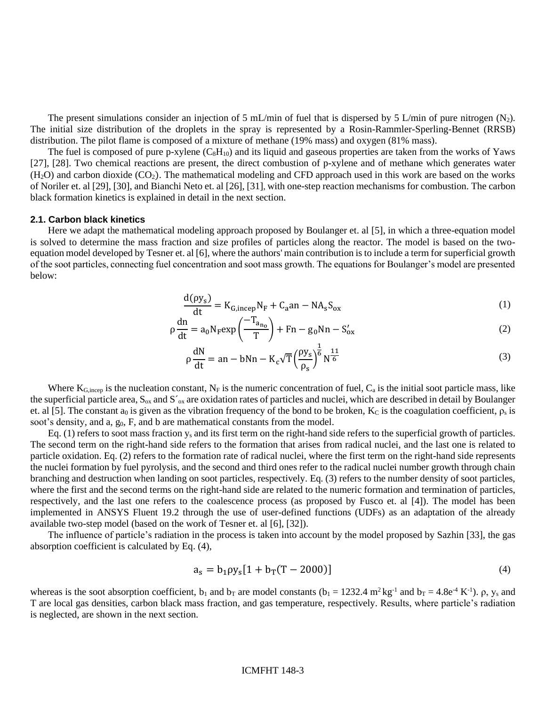The present simulations consider an injection of 5 mL/min of fuel that is dispersed by 5 L/min of pure nitrogen  $(N_2)$ . The initial size distribution of the droplets in the spray is represented by a Rosin-Rammler-Sperling-Bennet (RRSB) distribution. The pilot flame is composed of a mixture of methane (19% mass) and oxygen (81% mass).

The fuel is composed of pure p-xylene  $(C_8H_{10})$  and its liquid and gaseous properties are taken from the works of Yaws [27], [28]. Two chemical reactions are present, the direct combustion of p-xylene and of methane which generates water  $(H<sub>2</sub>O)$  and carbon dioxide  $(CO<sub>2</sub>)$ . The mathematical modeling and CFD approach used in this work are based on the works of Noriler et. al [29], [30], and Bianchi Neto et. al [26], [31], with one-step reaction mechanisms for combustion. The carbon black formation kinetics is explained in detail in the next section.

#### **2.1. Carbon black kinetics**

Here we adapt the mathematical modeling approach proposed by Boulanger et. al [5], in which a three-equation model is solved to determine the mass fraction and size profiles of particles along the reactor. The model is based on the twoequation model developed by Tesner et. al [6], where the authors' main contribution is to include a term for superficial growth of the soot particles, connecting fuel concentration and soot mass growth. The equations for Boulanger's model are presented below:

$$
\frac{d(\rho y_s)}{dt} = K_{G,\text{incep}} N_F + C_a \text{an} - N A_s S_{ox}
$$
 (1)

$$
\rho \frac{dn}{dt} = a_0 N_F exp\left(\frac{-T_{a_{n_0}}}{T}\right) + Fn - g_0 N n - S'_{ox}
$$
\n(2)

$$
\rho \frac{dN}{dt} = an - bNn - K_c \sqrt{T} \left(\frac{\rho y_s}{\rho_s}\right)^{\frac{1}{6}} N^{\frac{11}{6}}
$$
\n(3)

Where  $K_{G, incep}$  is the nucleation constant,  $N_F$  is the numeric concentration of fuel,  $C_a$  is the initial soot particle mass, like the superficial particle area,  $S_{ox}$  and  $S'_{ox}$  are oxidation rates of particles and nuclei, which are described in detail by Boulanger et. al [5]. The constant a<sub>0</sub> is given as the vibration frequency of the bond to be broken, K<sub>c</sub> is the coagulation coefficient,  $\rho_s$  is soot's density, and  $a, g<sub>0</sub>, F$ , and  $b$  are mathematical constants from the model.

Eq. (1) refers to soot mass fraction  $y_s$  and its first term on the right-hand side refers to the superficial growth of particles. The second term on the right-hand side refers to the formation that arises from radical nuclei, and the last one is related to particle oxidation. Eq. (2) refers to the formation rate of radical nuclei, where the first term on the right-hand side represents the nuclei formation by fuel pyrolysis, and the second and third ones refer to the radical nuclei number growth through chain branching and destruction when landing on soot particles, respectively. Eq. (3) refers to the number density of soot particles, where the first and the second terms on the right-hand side are related to the numeric formation and termination of particles, respectively, and the last one refers to the coalescence process (as proposed by Fusco et. al [4]). The model has been implemented in ANSYS Fluent 19.2 through the use of user-defined functions (UDFs) as an adaptation of the already available two-step model (based on the work of Tesner et. al [6], [32]).

The influence of particle's radiation in the process is taken into account by the model proposed by Sazhin [33], the gas absorption coefficient is calculated by Eq. (4),

$$
a_s = b_1 \rho y_s [1 + b_T (T - 2000)] \tag{4}
$$

whereas is the soot absorption coefficient,  $b_1$  and  $b_T$  are model constants ( $b_1 = 1232.4$  m<sup>2</sup> kg<sup>-1</sup> and  $b_T = 4.8e^4$  K<sup>-1</sup>).  $\rho$ , y<sub>s</sub> and T are local gas densities, carbon black mass fraction, and gas temperature, respectively. Results, where particle's radiation is neglected, are shown in the next section.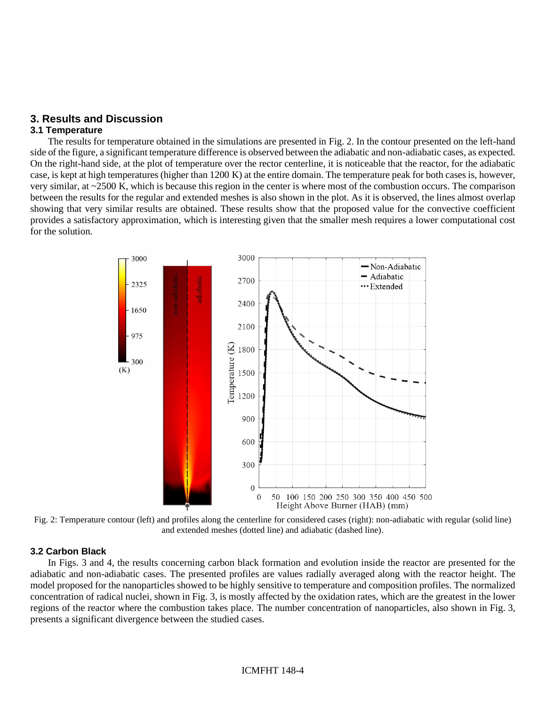# **3. Results and Discussion**

## **3.1 Temperature**

The results for temperature obtained in the simulations are presented in Fig. 2. In the contour presented on the left-hand side of the figure, a significant temperature difference is observed between the adiabatic and non-adiabatic cases, as expected. On the right-hand side, at the plot of temperature over the rector centerline, it is noticeable that the reactor, for the adiabatic case, is kept at high temperatures (higher than 1200 K) at the entire domain. The temperature peak for both cases is, however, very similar, at ~2500 K, which is because this region in the center is where most of the combustion occurs. The comparison between the results for the regular and extended meshes is also shown in the plot. As it is observed, the lines almost overlap showing that very similar results are obtained. These results show that the proposed value for the convective coefficient provides a satisfactory approximation, which is interesting given that the smaller mesh requires a lower computational cost for the solution.



Fig. 2: Temperature contour (left) and profiles along the centerline for considered cases (right): non-adiabatic with regular (solid line) and extended meshes (dotted line) and adiabatic (dashed line).

## **3.2 Carbon Black**

In Figs. 3 and 4, the results concerning carbon black formation and evolution inside the reactor are presented for the adiabatic and non-adiabatic cases. The presented profiles are values radially averaged along with the reactor height. The model proposed for the nanoparticles showed to be highly sensitive to temperature and composition profiles. The normalized concentration of radical nuclei, shown in Fig. 3, is mostly affected by the oxidation rates, which are the greatest in the lower regions of the reactor where the combustion takes place. The number concentration of nanoparticles, also shown in Fig. 3, presents a significant divergence between the studied cases.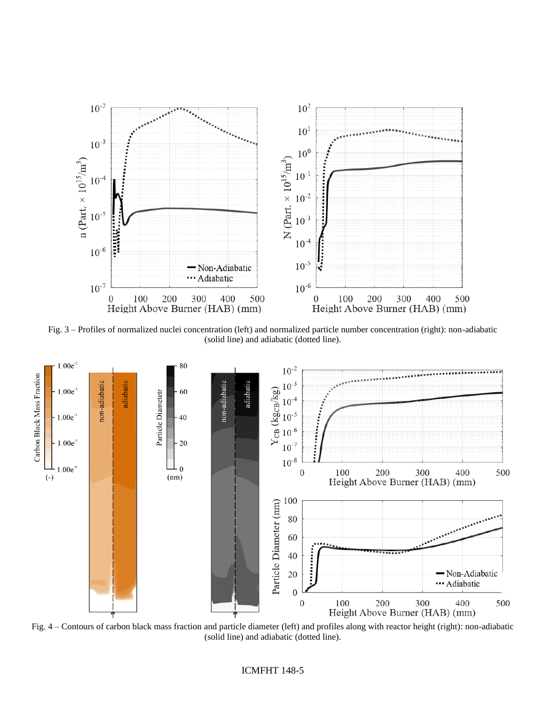

Fig. 3 – Profiles of normalized nuclei concentration (left) and normalized particle number concentration (right): non-adiabatic (solid line) and adiabatic (dotted line).



Fig. 4 – Contours of carbon black mass fraction and particle diameter (left) and profiles along with reactor height (right): non-adiabatic (solid line) and adiabatic (dotted line).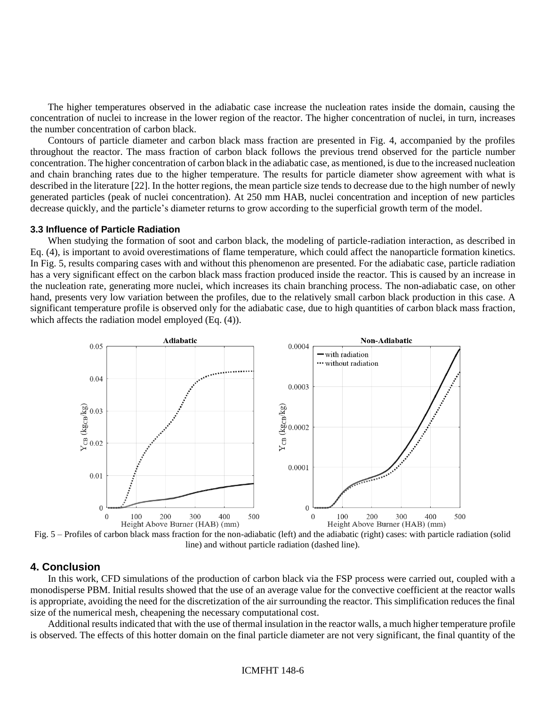The higher temperatures observed in the adiabatic case increase the nucleation rates inside the domain, causing the concentration of nuclei to increase in the lower region of the reactor. The higher concentration of nuclei, in turn, increases the number concentration of carbon black.

Contours of particle diameter and carbon black mass fraction are presented in Fig. 4, accompanied by the profiles throughout the reactor. The mass fraction of carbon black follows the previous trend observed for the particle number concentration. The higher concentration of carbon black in the adiabatic case, as mentioned, is due to the increased nucleation and chain branching rates due to the higher temperature. The results for particle diameter show agreement with what is described in the literature [22]. In the hotter regions, the mean particle size tends to decrease due to the high number of newly generated particles (peak of nuclei concentration). At 250 mm HAB, nuclei concentration and inception of new particles decrease quickly, and the particle's diameter returns to grow according to the superficial growth term of the model.

#### **3.3 Influence of Particle Radiation**

When studying the formation of soot and carbon black, the modeling of particle-radiation interaction, as described in Eq. (4), is important to avoid overestimations of flame temperature, which could affect the nanoparticle formation kinetics. In Fig. 5, results comparing cases with and without this phenomenon are presented. For the adiabatic case, particle radiation has a very significant effect on the carbon black mass fraction produced inside the reactor. This is caused by an increase in the nucleation rate, generating more nuclei, which increases its chain branching process. The non-adiabatic case, on other hand, presents very low variation between the profiles, due to the relatively small carbon black production in this case. A significant temperature profile is observed only for the adiabatic case, due to high quantities of carbon black mass fraction, which affects the radiation model employed (Eq. (4)).



Fig. 5 – Profiles of carbon black mass fraction for the non-adiabatic (left) and the adiabatic (right) cases: with particle radiation (solid line) and without particle radiation (dashed line).

#### **4. Conclusion**

In this work, CFD simulations of the production of carbon black via the FSP process were carried out, coupled with a monodisperse PBM. Initial results showed that the use of an average value for the convective coefficient at the reactor walls is appropriate, avoiding the need for the discretization of the air surrounding the reactor. This simplification reduces the final size of the numerical mesh, cheapening the necessary computational cost.

Additional results indicated that with the use of thermal insulation in the reactor walls, a much higher temperature profile is observed. The effects of this hotter domain on the final particle diameter are not very significant, the final quantity of the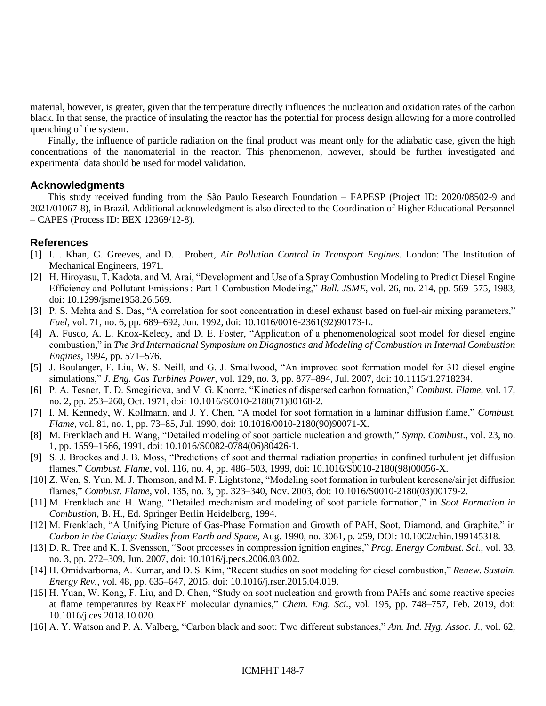material, however, is greater, given that the temperature directly influences the nucleation and oxidation rates of the carbon black. In that sense, the practice of insulating the reactor has the potential for process design allowing for a more controlled quenching of the system.

Finally, the influence of particle radiation on the final product was meant only for the adiabatic case, given the high concentrations of the nanomaterial in the reactor. This phenomenon, however, should be further investigated and experimental data should be used for model validation.

## **Acknowledgments**

This study received funding from the São Paulo Research Foundation – FAPESP (Project ID: 2020/08502-9 and 2021/01067-8), in Brazil. Additional acknowledgment is also directed to the Coordination of Higher Educational Personnel – CAPES (Process ID: BEX 12369/12-8).

# **References**

- [1] I. . Khan, G. Greeves, and D. . Probert, *Air Pollution Control in Transport Engines*. London: The Institution of Mechanical Engineers, 1971.
- [2] H. Hiroyasu, T. Kadota, and M. Arai, "Development and Use of a Spray Combustion Modeling to Predict Diesel Engine Efficiency and Pollutant Emissions : Part 1 Combustion Modeling," *Bull. JSME*, vol. 26, no. 214, pp. 569–575, 1983, doi: 10.1299/jsme1958.26.569.
- [3] P. S. Mehta and S. Das, "A correlation for soot concentration in diesel exhaust based on fuel-air mixing parameters," *Fuel*, vol. 71, no. 6, pp. 689–692, Jun. 1992, doi: 10.1016/0016-2361(92)90173-L.
- [4] A. Fusco, A. L. Knox-Kelecy, and D. E. Foster, "Application of a phenomenological soot model for diesel engine combustion," in *The 3rd International Symposium on Diagnostics and Modeling of Combustion in Internal Combustion Engines*, 1994, pp. 571–576.
- [5] J. Boulanger, F. Liu, W. S. Neill, and G. J. Smallwood, "An improved soot formation model for 3D diesel engine simulations," *J. Eng. Gas Turbines Power*, vol. 129, no. 3, pp. 877–894, Jul. 2007, doi: 10.1115/1.2718234.
- [6] P. A. Tesner, T. D. Smegiriova, and V. G. Knorre, "Kinetics of dispersed carbon formation," *Combust. Flame*, vol. 17, no. 2, pp. 253–260, Oct. 1971, doi: 10.1016/S0010-2180(71)80168-2.
- [7] I. M. Kennedy, W. Kollmann, and J. Y. Chen, "A model for soot formation in a laminar diffusion flame," *Combust. Flame*, vol. 81, no. 1, pp. 73–85, Jul. 1990, doi: 10.1016/0010-2180(90)90071-X.
- [8] M. Frenklach and H. Wang, "Detailed modeling of soot particle nucleation and growth," *Symp. Combust.*, vol. 23, no. 1, pp. 1559–1566, 1991, doi: 10.1016/S0082-0784(06)80426-1.
- [9] S. J. Brookes and J. B. Moss, "Predictions of soot and thermal radiation properties in confined turbulent jet diffusion flames," *Combust. Flame*, vol. 116, no. 4, pp. 486–503, 1999, doi: 10.1016/S0010-2180(98)00056-X.
- [10] Z. Wen, S. Yun, M. J. Thomson, and M. F. Lightstone, "Modeling soot formation in turbulent kerosene/air jet diffusion flames," *Combust. Flame*, vol. 135, no. 3, pp. 323–340, Nov. 2003, doi: 10.1016/S0010-2180(03)00179-2.
- [11] M. Frenklach and H. Wang, "Detailed mechanism and modeling of soot particle formation," in *Soot Formation in Combustion*, B. H., Ed. Springer Berlin Heidelberg, 1994.
- [12] M. Frenklach, "A Unifying Picture of Gas-Phase Formation and Growth of PAH, Soot, Diamond, and Graphite," in *Carbon in the Galaxy: Studies from Earth and Space*, Aug. 1990, no. 3061, p. 259, DOI: 10.1002/chin.199145318.
- [13] D. R. Tree and K. I. Svensson, "Soot processes in compression ignition engines," *Prog. Energy Combust. Sci.*, vol. 33, no. 3, pp. 272–309, Jun. 2007, doi: 10.1016/j.pecs.2006.03.002.
- [14] H. Omidvarborna, A. Kumar, and D. S. Kim, "Recent studies on soot modeling for diesel combustion," *Renew. Sustain. Energy Rev.*, vol. 48, pp. 635–647, 2015, doi: 10.1016/j.rser.2015.04.019.
- [15] H. Yuan, W. Kong, F. Liu, and D. Chen, "Study on soot nucleation and growth from PAHs and some reactive species at flame temperatures by ReaxFF molecular dynamics," *Chem. Eng. Sci.*, vol. 195, pp. 748–757, Feb. 2019, doi: 10.1016/j.ces.2018.10.020.
- [16] A. Y. Watson and P. A. Valberg, "Carbon black and soot: Two different substances," *Am. Ind. Hyg. Assoc. J.*, vol. 62,